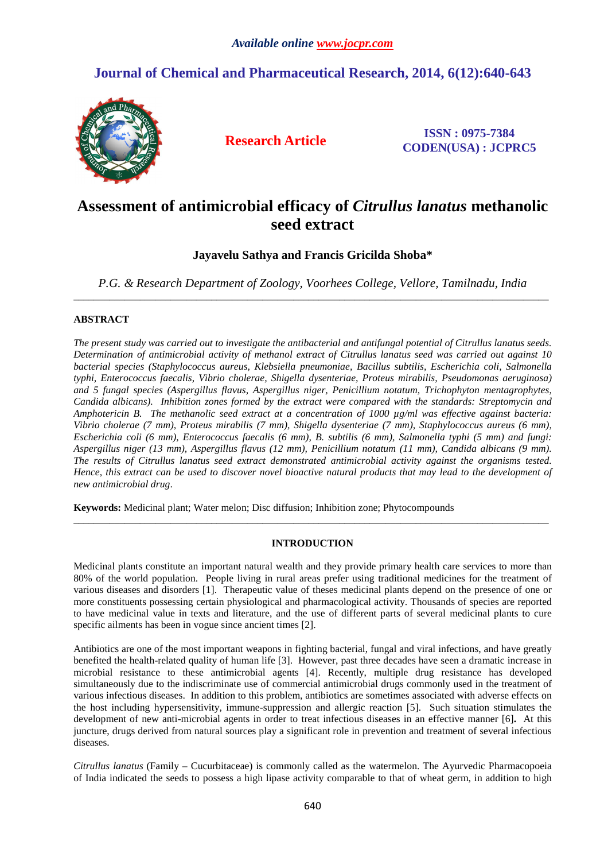# **Journal of Chemical and Pharmaceutical Research, 2014, 6(12):640-643**



**Research Article ISSN : 0975-7384 CODEN(USA) : JCPRC5**

# **Assessment of antimicrobial efficacy of** *Citrullus lanatus* **methanolic seed extract**

**Jayavelu Sathya and Francis Gricilda Shoba\*** 

*P.G. & Research Department of Zoology, Voorhees College, Vellore, Tamilnadu, India*  \_\_\_\_\_\_\_\_\_\_\_\_\_\_\_\_\_\_\_\_\_\_\_\_\_\_\_\_\_\_\_\_\_\_\_\_\_\_\_\_\_\_\_\_\_\_\_\_\_\_\_\_\_\_\_\_\_\_\_\_\_\_\_\_\_\_\_\_\_\_\_\_\_\_\_\_\_\_\_\_\_\_\_\_\_\_\_\_\_\_\_\_\_

## **ABSTRACT**

*The present study was carried out to investigate the antibacterial and antifungal potential of Citrullus lanatus seeds. Determination of antimicrobial activity of methanol extract of Citrullus lanatus seed was carried out against 10 bacterial species (Staphylococcus aureus, Klebsiella pneumoniae, Bacillus subtilis, Escherichia coli, Salmonella typhi, Enterococcus faecalis, Vibrio cholerae, Shigella dysenteriae, Proteus mirabilis, Pseudomonas aeruginosa) and 5 fungal species (Aspergillus flavus, Aspergillus niger, Penicillium notatum, Trichophyton mentagrophytes, Candida albicans). Inhibition zones formed by the extract were compared with the standards: Streptomycin and Amphotericin B. The methanolic seed extract at a concentration of 1000 µg/ml was effective against bacteria: Vibrio cholerae (7 mm), Proteus mirabilis (7 mm), Shigella dysenteriae (7 mm), Staphylococcus aureus (6 mm), Escherichia coli (6 mm), Enterococcus faecalis (6 mm), B. subtilis (6 mm), Salmonella typhi (5 mm) and fungi: Aspergillus niger (13 mm), Aspergillus flavus (12 mm), Penicillium notatum (11 mm), Candida albicans (9 mm). The results of Citrullus lanatus seed extract demonstrated antimicrobial activity against the organisms tested. Hence, this extract can be used to discover novel bioactive natural products that may lead to the development of new antimicrobial drug*.

**Keywords:** Medicinal plant; Water melon; Disc diffusion; Inhibition zone; Phytocompounds

## **INTRODUCTION**

 $\overline{a}$  , and the contribution of the contribution of the contribution of the contribution of the contribution of the contribution of the contribution of the contribution of the contribution of the contribution of the co

Medicinal plants constitute an important natural wealth and they provide primary health care services to more than 80% of the world population. People living in rural areas prefer using traditional medicines for the treatment of various diseases and disorders [1]. Therapeutic value of theses medicinal plants depend on the presence of one or more constituents possessing certain physiological and pharmacological activity. Thousands of species are reported to have medicinal value in texts and literature, and the use of different parts of several medicinal plants to cure specific ailments has been in vogue since ancient times [2].

Antibiotics are one of the most important weapons in fighting bacterial, fungal and viral infections, and have greatly benefited the health-related quality of human life [3]. However, past three decades have seen a dramatic increase in microbial resistance to these antimicrobial agents [4]. Recently, multiple drug resistance has developed simultaneously due to the indiscriminate use of commercial antimicrobial drugs commonly used in the treatment of various infectious diseases. In addition to this problem, antibiotics are sometimes associated with adverse effects on the host including hypersensitivity, immune-suppression and allergic reaction [5]. Such situation stimulates the development of new anti-microbial agents in order to treat infectious diseases in an effective manner [6]**.** At this juncture, drugs derived from natural sources play a significant role in prevention and treatment of several infectious diseases.

*Citrullus lanatus* (Family – Cucurbitaceae) is commonly called as the watermelon. The Ayurvedic Pharmacopoeia of India indicated the seeds to possess a high lipase activity comparable to that of wheat germ, in addition to high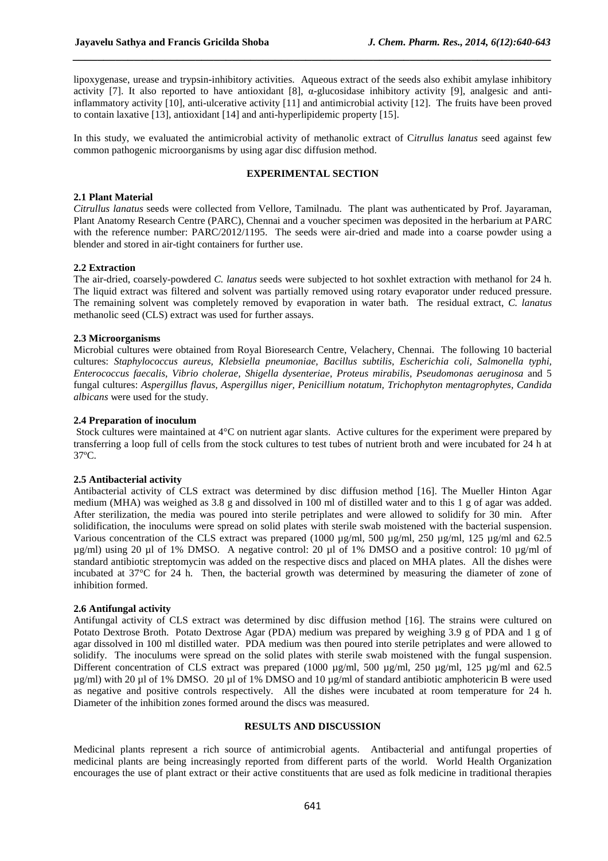lipoxygenase, urease and trypsin-inhibitory activities. Aqueous extract of the seeds also exhibit amylase inhibitory activity [7]. It also reported to have antioxidant [8],  $\alpha$ -glucosidase inhibitory activity [9], analgesic and antiinflammatory activity [10], anti-ulcerative activity [11] and antimicrobial activity [12]. The fruits have been proved to contain laxative [13], antioxidant [14] and anti-hyperlipidemic property [15].

*\_\_\_\_\_\_\_\_\_\_\_\_\_\_\_\_\_\_\_\_\_\_\_\_\_\_\_\_\_\_\_\_\_\_\_\_\_\_\_\_\_\_\_\_\_\_\_\_\_\_\_\_\_\_\_\_\_\_\_\_\_\_\_\_\_\_\_\_\_\_\_\_\_\_\_\_\_\_*

In this study, we evaluated the antimicrobial activity of methanolic extract of C*itrullus lanatus* seed against few common pathogenic microorganisms by using agar disc diffusion method.

# **EXPERIMENTAL SECTION**

## **2.1 Plant Material**

*Citrullus lanatus* seeds were collected from Vellore, Tamilnadu. The plant was authenticated by Prof. Jayaraman, Plant Anatomy Research Centre (PARC), Chennai and a voucher specimen was deposited in the herbarium at PARC with the reference number: PARC/2012/1195. The seeds were air-dried and made into a coarse powder using a blender and stored in air-tight containers for further use.

### **2.2 Extraction**

The air-dried, coarsely-powdered *C. lanatus* seeds were subjected to hot soxhlet extraction with methanol for 24 h. The liquid extract was filtered and solvent was partially removed using rotary evaporator under reduced pressure. The remaining solvent was completely removed by evaporation in water bath. The residual extract, *C. lanatus*  methanolic seed (CLS) extract was used for further assays.

### **2.3 Microorganisms**

Microbial cultures were obtained from Royal Bioresearch Centre, Velachery, Chennai. The following 10 bacterial cultures: *Staphylococcus aureus, Klebsiella pneumoniae, Bacillus subtilis, Escherichia coli, Salmonella typhi, Enterococcus faecalis, Vibrio cholerae, Shigella dysenteriae, Proteus mirabilis, Pseudomonas aeruginosa* and 5 fungal cultures: *Aspergillus flavus, Aspergillus niger, Penicillium notatum, Trichophyton mentagrophytes, Candida albicans* were used for the study.

## **2.4 Preparation of inoculum**

 Stock cultures were maintained at 4°C on nutrient agar slants. Active cultures for the experiment were prepared by transferring a loop full of cells from the stock cultures to test tubes of nutrient broth and were incubated for 24 h at 37ºC.

#### **2.5 Antibacterial activity**

Antibacterial activity of CLS extract was determined by disc diffusion method [16]. The Mueller Hinton Agar medium (MHA) was weighed as 3.8 g and dissolved in 100 ml of distilled water and to this 1 g of agar was added. After sterilization, the media was poured into sterile petriplates and were allowed to solidify for 30 min. After solidification, the inoculums were spread on solid plates with sterile swab moistened with the bacterial suspension. Various concentration of the CLS extract was prepared (1000 µg/ml, 500 µg/ml, 250 µg/ml, 125 µg/ml and 62.5 µg/ml) using 20 µl of 1% DMSO. A negative control: 20 µl of 1% DMSO and a positive control: 10 µg/ml of standard antibiotic streptomycin was added on the respective discs and placed on MHA plates. All the dishes were incubated at 37°C for 24 h. Then, the bacterial growth was determined by measuring the diameter of zone of inhibition formed.

#### **2.6 Antifungal activity**

Antifungal activity of CLS extract was determined by disc diffusion method [16]. The strains were cultured on Potato Dextrose Broth. Potato Dextrose Agar (PDA) medium was prepared by weighing 3.9 g of PDA and 1 g of agar dissolved in 100 ml distilled water. PDA medium was then poured into sterile petriplates and were allowed to solidify. The inoculums were spread on the solid plates with sterile swab moistened with the fungal suspension. Different concentration of CLS extract was prepared (1000 µg/ml, 500 µg/ml, 250 µg/ml, 125 µg/ml and 62.5 µg/ml) with 20 µl of 1% DMSO. 20 µl of 1% DMSO and 10 µg/ml of standard antibiotic amphotericin B were used as negative and positive controls respectively. All the dishes were incubated at room temperature for 24 h. Diameter of the inhibition zones formed around the discs was measured.

### **RESULTS AND DISCUSSION**

Medicinal plants represent a rich source of antimicrobial agents. Antibacterial and antifungal properties of medicinal plants are being increasingly reported from different parts of the world. World Health Organization encourages the use of plant extract or their active constituents that are used as folk medicine in traditional therapies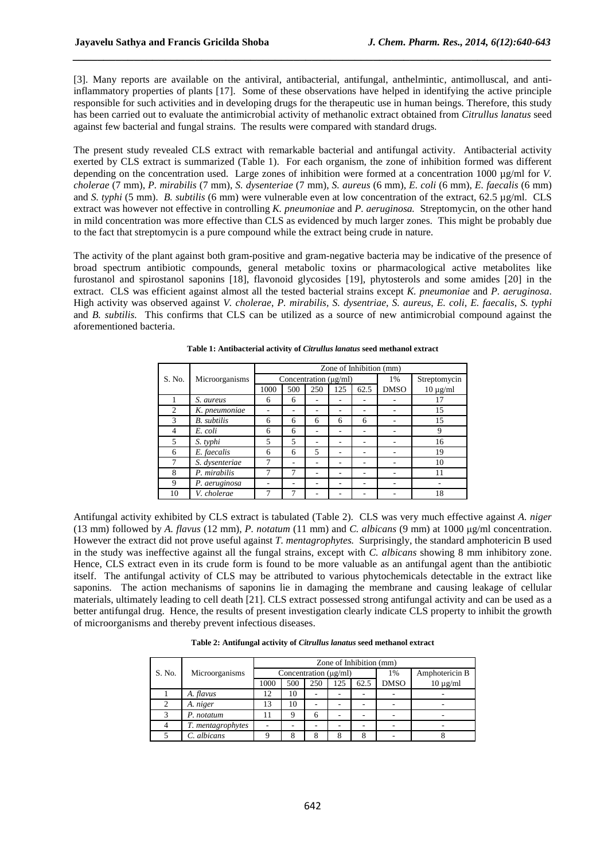[3]. Many reports are available on the antiviral, antibacterial, antifungal, anthelmintic, antimolluscal, and antiinflammatory properties of plants [17]. Some of these observations have helped in identifying the active principle responsible for such activities and in developing drugs for the therapeutic use in human beings. Therefore, this study has been carried out to evaluate the antimicrobial activity of methanolic extract obtained from *Citrullus lanatus* seed against few bacterial and fungal strains. The results were compared with standard drugs.

*\_\_\_\_\_\_\_\_\_\_\_\_\_\_\_\_\_\_\_\_\_\_\_\_\_\_\_\_\_\_\_\_\_\_\_\_\_\_\_\_\_\_\_\_\_\_\_\_\_\_\_\_\_\_\_\_\_\_\_\_\_\_\_\_\_\_\_\_\_\_\_\_\_\_\_\_\_\_*

The present study revealed CLS extract with remarkable bacterial and antifungal activity. Antibacterial activity exerted by CLS extract is summarized (Table 1). For each organism, the zone of inhibition formed was different depending on the concentration used. Large zones of inhibition were formed at a concentration 1000 µg/ml for *V*. *cholerae* (7 mm), *P. mirabilis* (7 mm), *S. dysenteriae* (7 mm), *S. aureus* (6 mm), *E. coli* (6 mm), *E. faecalis* (6 mm) and *S. typhi* (5 mm). *B. subtilis* (6 mm) were vulnerable even at low concentration of the extract, 62.5 µg/ml. CLS extract was however not effective in controlling *K. pneumoniae* and *P. aeruginosa.* Streptomycin, on the other hand in mild concentration was more effective than CLS as evidenced by much larger zones. This might be probably due to the fact that streptomycin is a pure compound while the extract being crude in nature.

The activity of the plant against both gram-positive and gram-negative bacteria may be indicative of the presence of broad spectrum antibiotic compounds, general metabolic toxins or pharmacological active metabolites like furostanol and spirostanol saponins [18], flavonoid glycosides [19], phytosterols and some amides [20] in the extract. CLS was efficient against almost all the tested bacterial strains except *K. pneumoniae* and *P. aeruginosa*. High activity was observed against *V. cholerae*, *P. mirabilis, S. dysentriae, S. aureus*, *E. coli*, *E. faecalis*, *S. typhi*  and *B. subtilis.* This confirms that CLS can be utilized as a source of new antimicrobial compound against the aforementioned bacteria.

|        | Microorganisms     | Zone of Inhibition (mm)    |     |     |     |      |             |               |  |
|--------|--------------------|----------------------------|-----|-----|-----|------|-------------|---------------|--|
| S. No. |                    | Concentration $(\mu g/ml)$ |     |     |     |      | 1%          | Streptomycin  |  |
|        |                    | 1000                       | 500 | 250 | 125 | 62.5 | <b>DMSO</b> | $10 \mu g/ml$ |  |
|        | S. aureus          | 6                          | 6   |     |     |      |             | 17            |  |
| 2      | K. pneumoniae      |                            |     |     |     |      |             | 15            |  |
| 3      | <b>B.</b> subtilis | 6                          | 6   | 6   | 6   | 6    |             | 15            |  |
| 4      | E. coli            | 6                          | 6   | ۰   |     |      |             | 9             |  |
| 5      | S. typhi           | 5                          | 5   |     |     |      |             | 16            |  |
| 6      | E. faecalis        | 6                          | 6   | 5   |     |      |             | 19            |  |
|        | S. dysenteriae     | 7                          | ٠   | ۰   |     |      |             | 10            |  |
| 8      | P. mirabilis       | 7                          | 7   | ۰   |     |      |             | 11            |  |
| 9      | P. aeruginosa      |                            |     |     |     |      |             |               |  |
| 10     | V. cholerae        |                            |     |     |     |      |             | 18            |  |

**Table 1: Antibacterial activity of** *Citrullus lanatus* **seed methanol extract** 

Antifungal activity exhibited by CLS extract is tabulated (Table 2). CLS was very much effective against *A. niger* (13 mm) followed by *A. flavus* (12 mm), *P. notatum* (11 mm) and *C. albicans* (9 mm) at 1000 µg/ml concentration. However the extract did not prove useful against *T. mentagrophytes.* Surprisingly, the standard amphotericin B used in the study was ineffective against all the fungal strains, except with *C. albicans* showing 8 mm inhibitory zone. Hence, CLS extract even in its crude form is found to be more valuable as an antifungal agent than the antibiotic itself. The antifungal activity of CLS may be attributed to various phytochemicals detectable in the extract like saponins. The action mechanisms of saponins lie in damaging the membrane and causing leakage of cellular materials, ultimately leading to cell death [21]. CLS extract possessed strong antifungal activity and can be used as a better antifungal drug. Hence, the results of present investigation clearly indicate CLS property to inhibit the growth of microorganisms and thereby prevent infectious diseases.

**Table 2: Antifungal activity of** *Citrullus lanatus* **seed methanol extract** 

|                | Microorganisms    | Zone of Inhibition (mm)    |     |     |     |      |             |                |  |
|----------------|-------------------|----------------------------|-----|-----|-----|------|-------------|----------------|--|
| S. No.         |                   | Concentration $(\mu g/ml)$ |     |     |     |      | 1%          | Amphotericin B |  |
|                |                   | 1000                       | 500 | 250 | 125 | 62.5 | <b>DMSO</b> | $10 \mu g/ml$  |  |
|                | A. flavus         | 12                         | 10  |     |     |      |             |                |  |
| $\overline{c}$ | A. niger          | 13                         | 10  |     |     |      |             |                |  |
|                | P. notatum        |                            |     | 6   |     |      |             |                |  |
|                | T. mentagrophytes |                            |     |     |     |      |             |                |  |
|                | C. albicans       |                            |     |     | 8   |      |             |                |  |